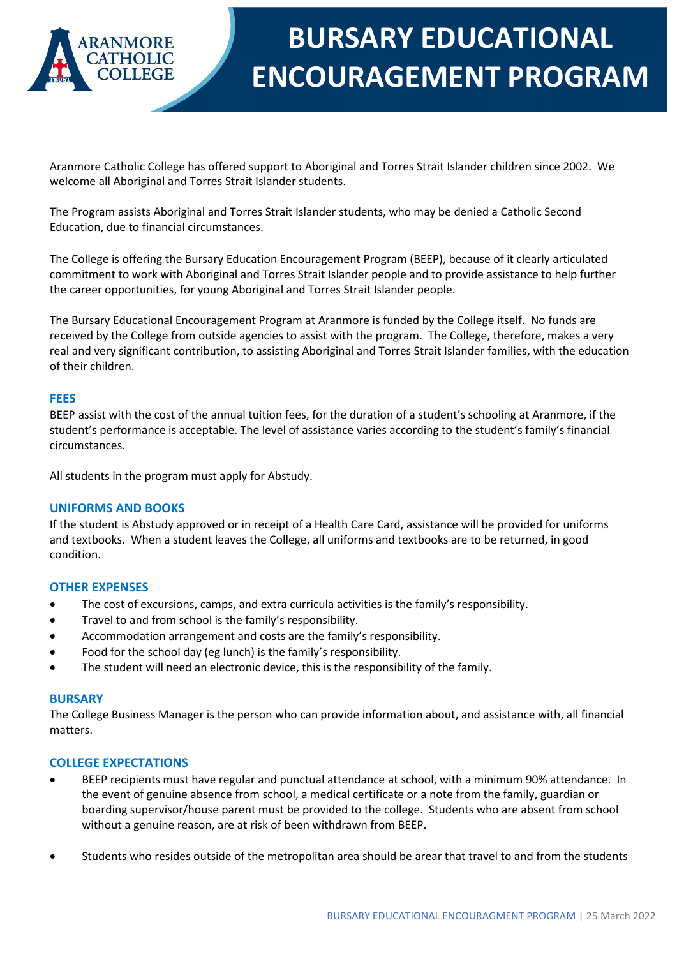

# **BURSARY EDUCATIONAL ENCOURAGEMENT PROGRAM**

Aranmore Catholic College has offered support to Aboriginal and Torres Strait Islander children since 2002. We welcome all Aboriginal and Torres Strait Islander students.

The Program assists Aboriginal and Torres Strait Islander students, who may be denied a Catholic Second Education, due to financial circumstances.

The College is offering the Bursary Education Encouragement Program (BEEP), because of it clearly articulated commitment to work with Aboriginal and Torres Strait Islander people and to provide assistance to help further the career opportunities, for young Aboriginal and Torres Strait Islander people.

The Bursary Educational Encouragement Program at Aranmore is funded by the College itself. No funds are received by the College from outside agencies to assist with the program. The College, therefore, makes a very real and very significant contribution, to assisting Aboriginal and Torres Strait Islander families, with the education of their children.

## **FEES**

BEEP assist with the cost of the annual tuition fees, for the duration of a student's schooling at Aranmore, if the student's performance is acceptable. The level of assistance varies according to the student's family's financial circumstances.

All students in the program must apply for Abstudy.

### **UNIFORMS AND BOOKS**

If the student is Abstudy approved or in receipt of a Health Care Card, assistance will be provided for uniforms and textbooks. When a student leaves the College, all uniforms and textbooks are to be returned, in good condition.

### **OTHER EXPENSES**

- The cost of excursions, camps, and extra curricula activities is the family's responsibility.
- Travel to and from school is the family's responsibility.
- Accommodation arrangement and costs are the family's responsibility.
- Food for the school day (eg lunch) is the family's responsibility.
- The student will need an electronic device, this is the responsibility of the family.

### **BURSARY**

The College Business Manager is the person who can provide information about, and assistance with, all financial matters.

### **COLLEGE EXPECTATIONS**

- BEEP recipients must have regular and punctual attendance at school, with a minimum 90% attendance. In the event of genuine absence from school, a medical certificate or a note from the family, guardian or boarding supervisor/house parent must be provided to the college. Students who are absent from school without a genuine reason, are at risk of been withdrawn from BEEP.
- Students who resides outside of the metropolitan area should be arear that travel to and from the students